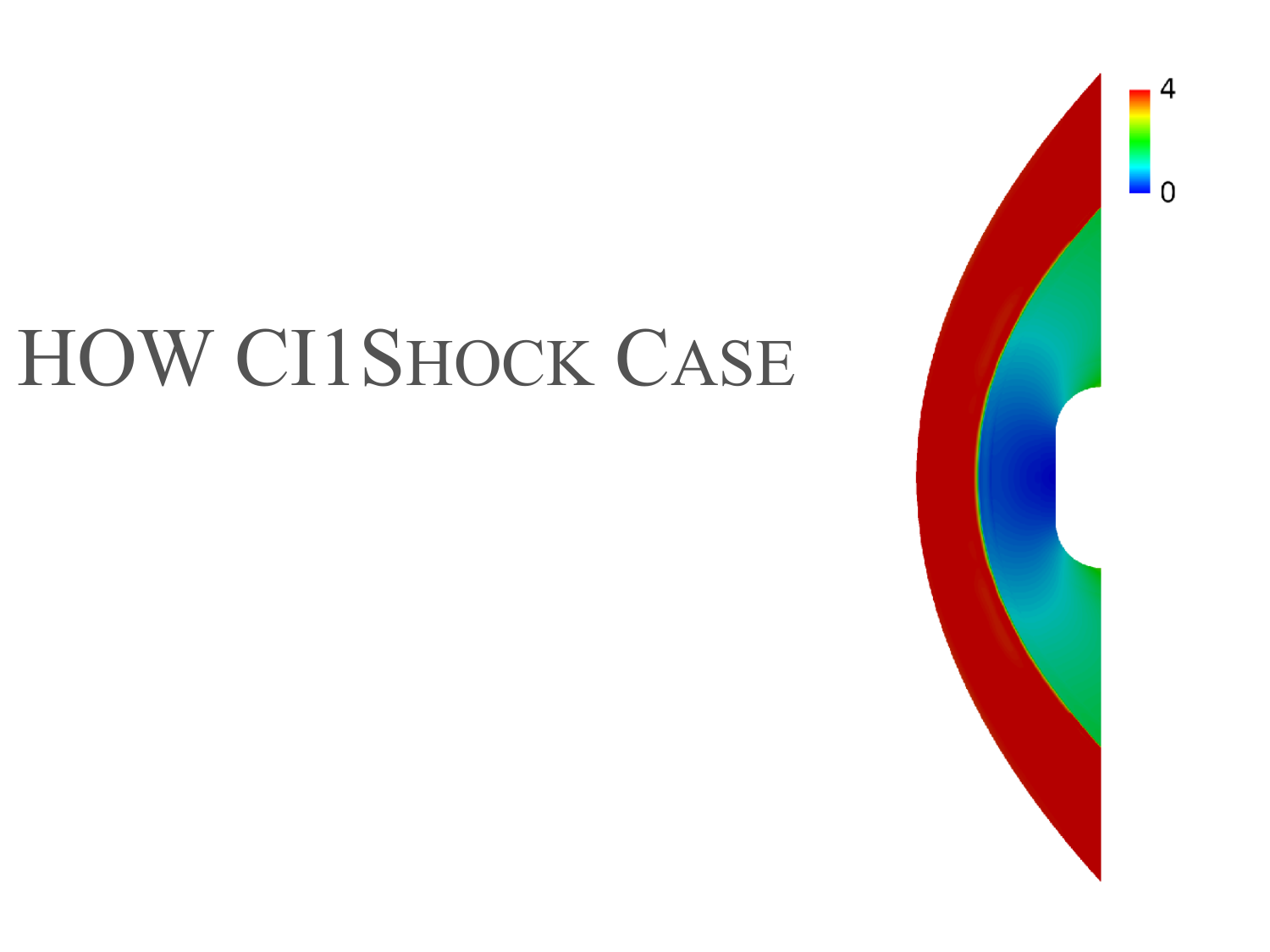# HOW CI1SHOCK CASE



4  $\Omega$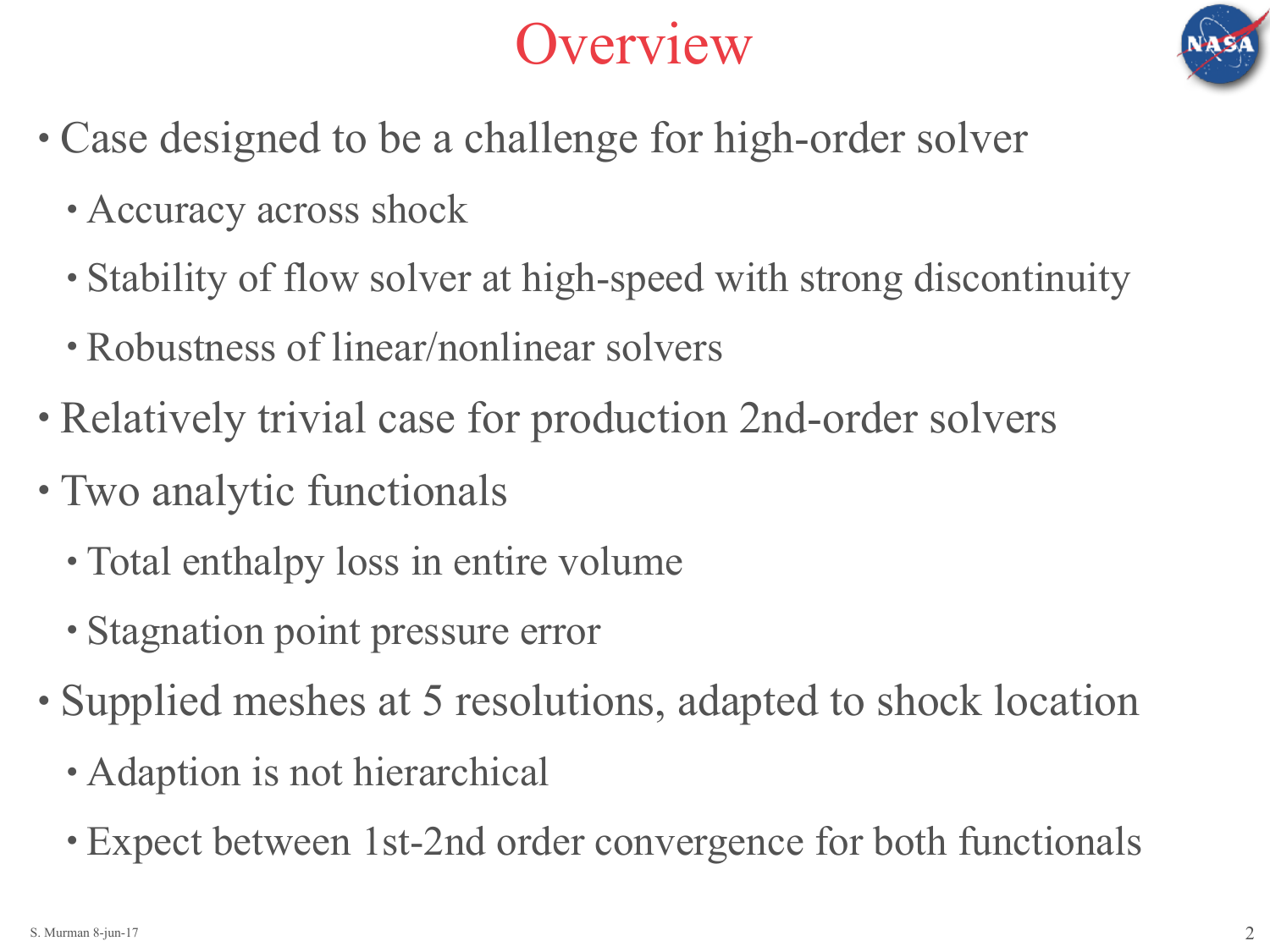

## Overview

- Case designed to be a challenge for high-order solver
	- Accuracy across shock
	- Stability of flow solver at high-speed with strong discontinuity
	- Robustness of linear/nonlinear solvers
- Relatively trivial case for production 2nd-order solvers
- Two analytic functionals
	- Total enthalpy loss in entire volume
	- Stagnation point pressure error
- Supplied meshes at 5 resolutions, adapted to shock location
	- Adaption is not hierarchical
	- Expect between 1st-2nd order convergence for both functionals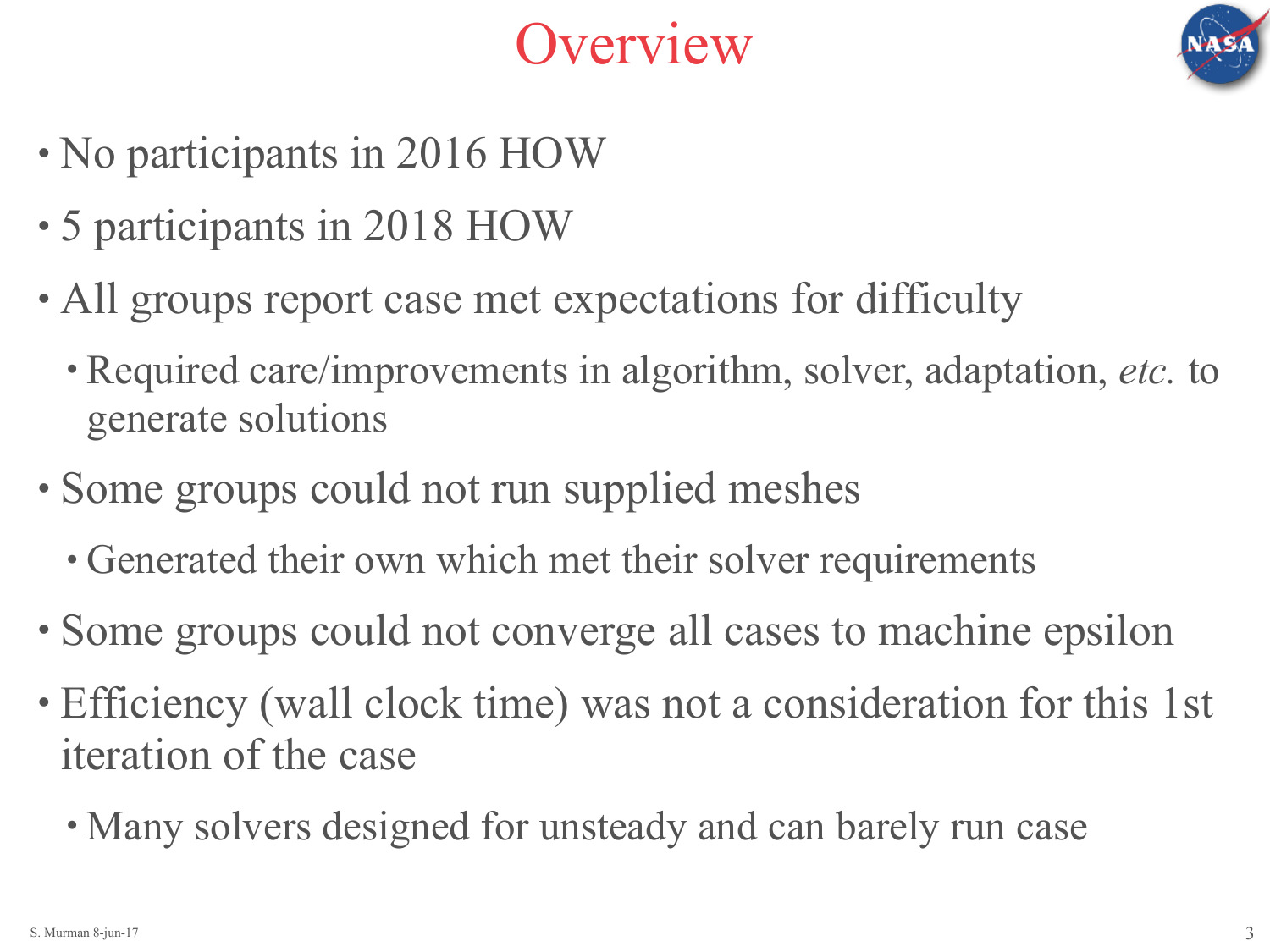



- No participants in 2016 HOW
- 5 participants in 2018 HOW
- All groups report case met expectations for difficulty
	- Required care/improvements in algorithm, solver, adaptation, *etc.* to generate solutions
- Some groups could not run supplied meshes
	- Generated their own which met their solver requirements
- Some groups could not converge all cases to machine epsilon
- Efficiency (wall clock time) was not a consideration for this 1st iteration of the case
	- Many solvers designed for unsteady and can barely run case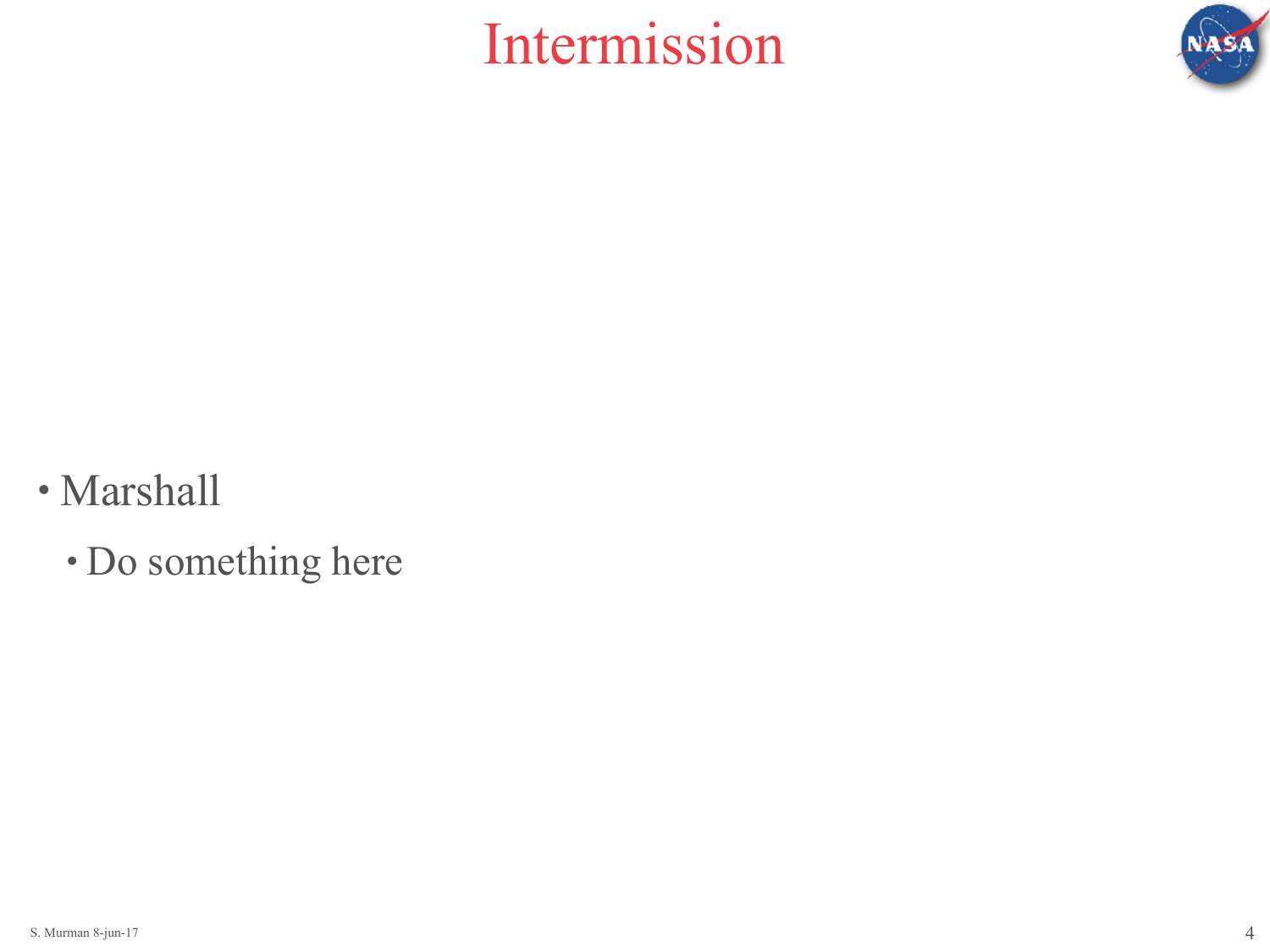

## Intermission

- Marshall
	- Do something here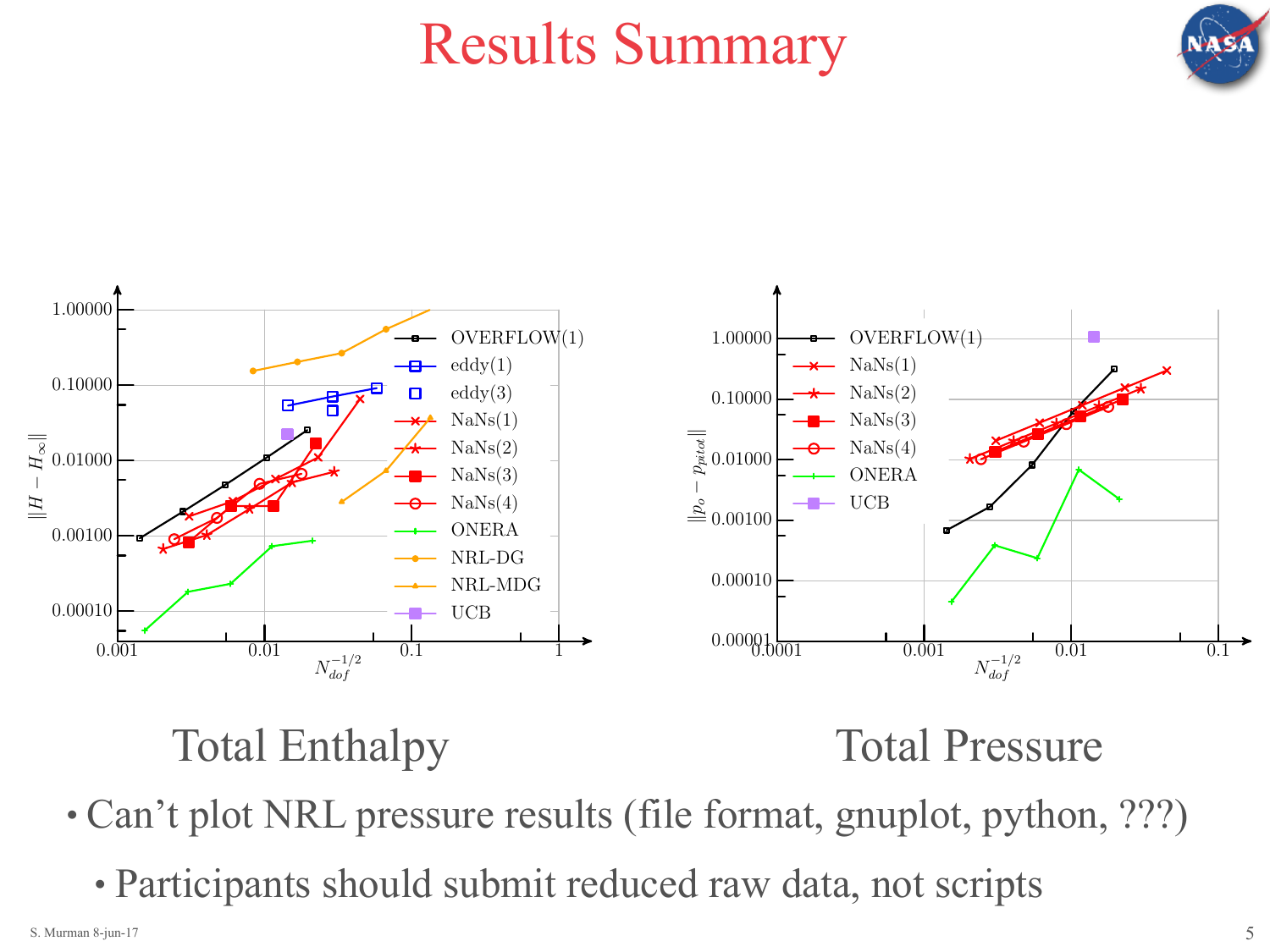

## Results Summary



## Total Enthalpy Total Pressure

- Can't plot NRL pressure results (file format, gnuplot, python, ???)
	- Participants should submit reduced raw data, not scripts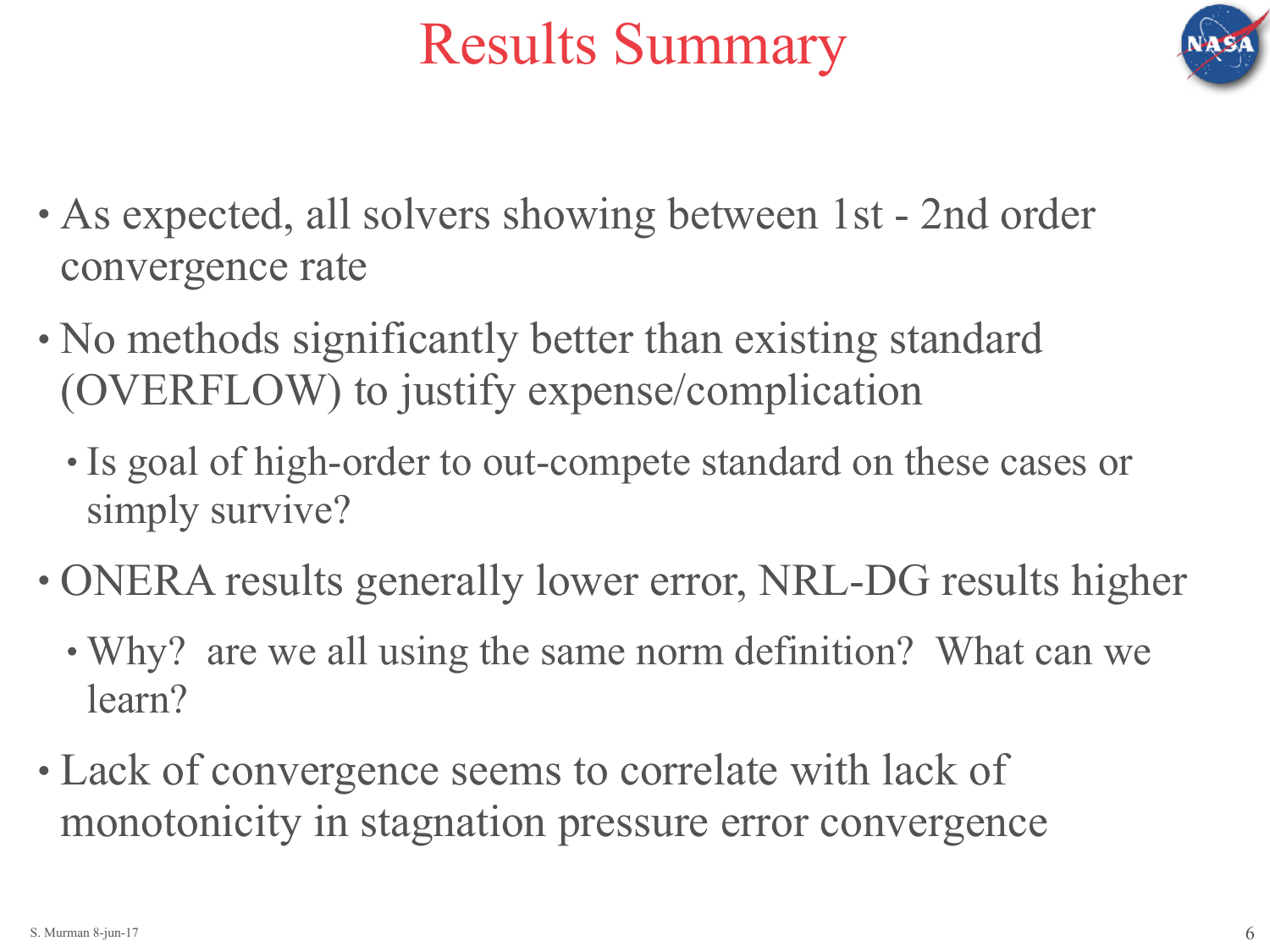

## Results Summary

- As expected, all solvers showing between 1st 2nd order convergence rate
- No methods significantly better than existing standard (OVERFLOW) to justify expense/complication
	- Is goal of high-order to out-compete standard on these cases or simply survive?
- ONERA results generally lower error, NRL-DG results higher
	- Why? are we all using the same norm definition? What can we learn?
- Lack of convergence seems to correlate with lack of monotonicity in stagnation pressure error convergence